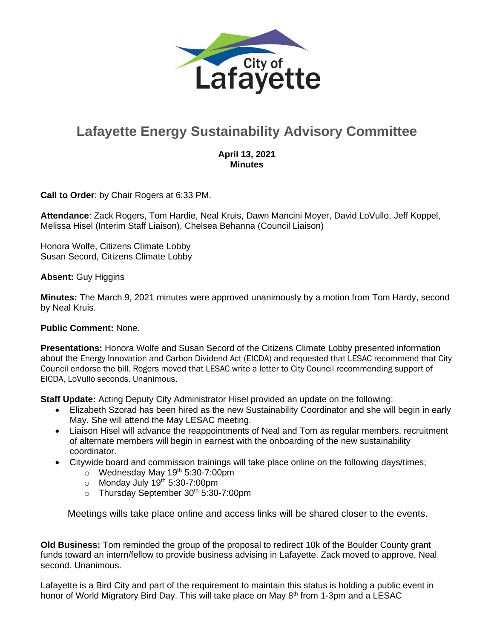

## **Lafayette Energy Sustainability Advisory Committee**

## **April 13, 2021 Minutes**

**Call to Order**: by Chair Rogers at 6:33 PM.

**Attendance**: Zack Rogers, Tom Hardie, Neal Kruis, Dawn Mancini Moyer, David LoVullo, Jeff Koppel, Melissa Hisel (Interim Staff Liaison), Chelsea Behanna (Council Liaison)

Honora Wolfe, Citizens Climate Lobby Susan Secord, Citizens Climate Lobby

**Absent:** Guy Higgins

**Minutes:** The March 9, 2021 minutes were approved unanimously by a motion from Tom Hardy, second by Neal Kruis.

## **Public Comment:** None.

**Presentations:** Honora Wolfe and Susan Secord of the Citizens Climate Lobby presented information about the Energy Innovation and Carbon Dividend Act (EICDA) and requested that LESAC recommend that City Council endorse the bill. Rogers moved that LESAC write a letter to City Council recommending support of EICDA, LoVullo seconds. Unanimous.

**Staff Update:** Acting Deputy City Administrator Hisel provided an update on the following:

- Elizabeth Szorad has been hired as the new Sustainability Coordinator and she will begin in early May. She will attend the May LESAC meeting.
- Liaison Hisel will advance the reappointments of Neal and Tom as regular members, recruitment of alternate members will begin in earnest with the onboarding of the new sustainability coordinator.
- Citywide board and commission trainings will take place online on the following days/times;
	- $\circ$  Wednesday May 19<sup>th</sup> 5:30-7:00pm
	- $\circ$  Monday July 19<sup>th</sup> 5:30-7:00pm
	- o Thursday September 30<sup>th</sup> 5:30-7:00pm

Meetings wills take place online and access links will be shared closer to the events.

**Old Business:** Tom reminded the group of the proposal to redirect 10k of the Boulder County grant funds toward an intern/fellow to provide business advising in Lafayette. Zack moved to approve, Neal second. Unanimous.

Lafayette is a Bird City and part of the requirement to maintain this status is holding a public event in honor of World Migratory Bird Day. This will take place on May 8<sup>th</sup> from 1-3pm and a LESAC